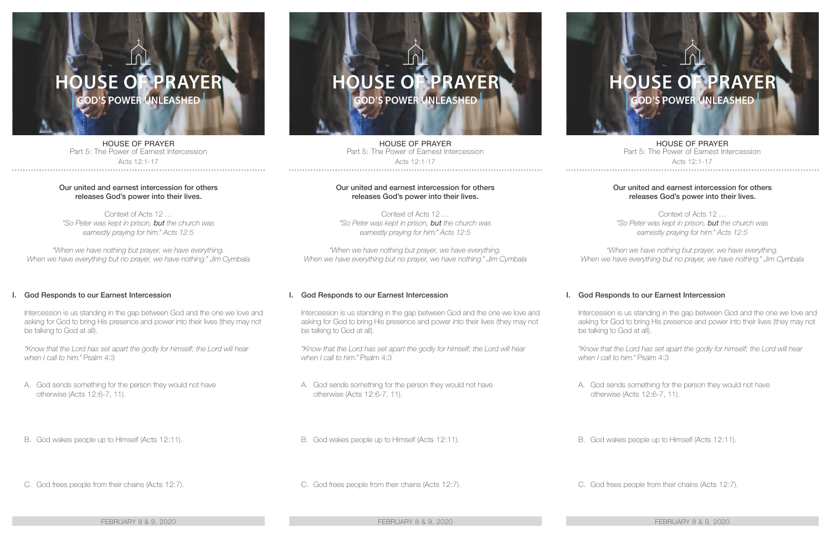# **SE F PRAYER OD'S POWER UNLEASHED**

HOUSE OF PRAYER Part 5: The Power of Earnest Intercession

Acts 12:1-17

## Our united and earnest intercession for others releases God's power into their lives.

Context of Acts 12 … *"So Peter was kept in prison, but the church was earnestly praying for him." Acts 12:5*

*"When we have nothing but prayer, we have everything. When we have everything but no prayer, we have nothing." Jim Cymbala*

# I. God Responds to our Earnest Intercession

Intercession is us standing in the gap between God and the one we love and asking for God to bring His presence and power into their lives (they may not be talking to God at all).

*"Know that the Lord has set apart the godly for himself; the Lord will hear when I call to him."* Psalm 4:3

- A. God sends something for the person they would not have otherwise (Acts 12:6-7, 11).
- B. God wakes people up to Himself (Acts 12:11).
- C. God frees people from their chains (Acts 12:7).

## FEBRUARY 8 & 9, 2020 FEBRUARY 8 & 9, 2020 FEBRUARY 8 & 9, 2020